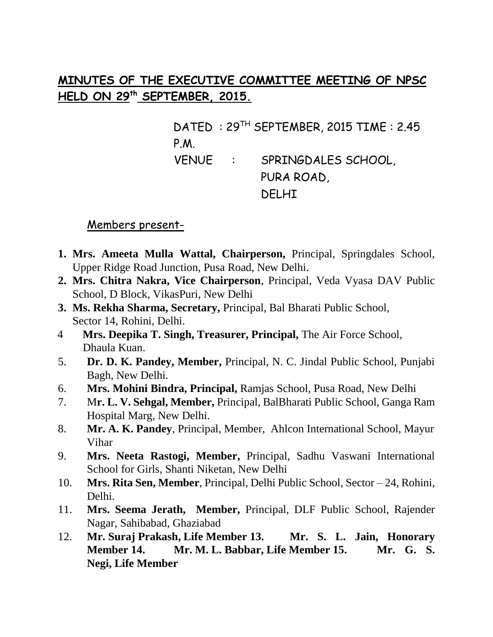# **MINUTES OF THE EXECUTIVE COMMITTEE MEETING OF NPSC HELD ON 29th SEPTEMBER, 2015.**

DATED : 29TH SEPTEMBER, 2015 TIME : 2.45 P.M. VENUE : SPRINGDALES SCHOOL, PURA ROAD, DELHI

### Members present-

- **1. Mrs. Ameeta Mulla Wattal, Chairperson,** Principal, Springdales School, Upper Ridge Road Junction, Pusa Road, New Delhi.
- **2. Mrs. Chitra Nakra, Vice Chairperson**, Principal, Veda Vyasa DAV Public School, D Block, VikasPuri, New Delhi
- **3. Ms. Rekha Sharma, Secretary,** Principal, Bal Bharati Public School, Sector 14, Rohini, Delhi.
- 4 **Mrs. Deepika T. Singh, Treasurer, Principal,** The Air Force School, Dhaula Kuan.
- 5. **Dr. D. K. Pandey, Member,** Principal, N. C. Jindal Public School, Punjabi Bagh, New Delhi.
- 6. **Mrs. Mohini Bindra, Principal,** Ramjas School, Pusa Road, New Delhi
- 7. M**r. L. V. Sehgal, Member,** Principal, BalBharati Public School, Ganga Ram Hospital Marg, New Delhi.
- 8. **Mr. A. K. Pandey**, Principal, Member, Ahlcon International School, Mayur Vihar
- 9. **Mrs. Neeta Rastogi, Member,** Principal, Sadhu Vaswani International School for Girls, Shanti Niketan, New Delhi
- 10. **Mrs. Rita Sen, Member**, Principal, Delhi Public School, Sector 24, Rohini, Delhi.
- 11. **Mrs. Seema Jerath, Member,** Principal, DLF Public School, Rajender Nagar, Sahibabad, Ghaziabad
- 12. **Mr. Suraj Prakash, Life Member 13. Mr. S. L. Jain, Honorary Member 14. Mr. M. L. Babbar, Life Member 15. Mr. G. S. Negi, Life Member**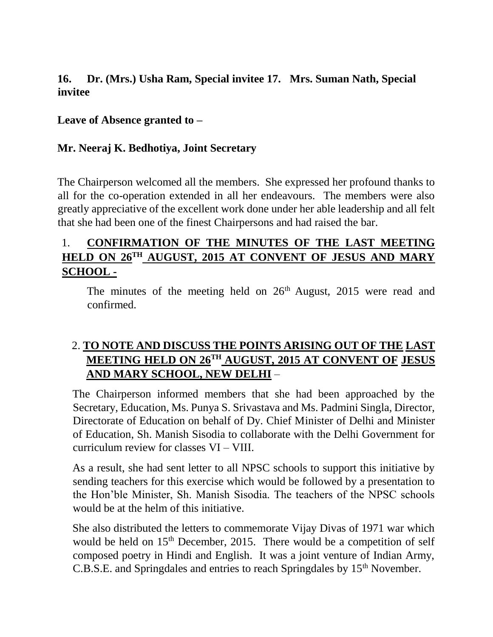**16. Dr. (Mrs.) Usha Ram, Special invitee 17. Mrs. Suman Nath, Special invitee** 

#### **Leave of Absence granted to –**

#### **Mr. Neeraj K. Bedhotiya, Joint Secretary**

The Chairperson welcomed all the members. She expressed her profound thanks to all for the co-operation extended in all her endeavours. The members were also greatly appreciative of the excellent work done under her able leadership and all felt that she had been one of the finest Chairpersons and had raised the bar.

## 1. **CONFIRMATION OF THE MINUTES OF THE LAST MEETING HELD ON 26TH AUGUST, 2015 AT CONVENT OF JESUS AND MARY SCHOOL -**

The minutes of the meeting held on  $26<sup>th</sup>$  August, 2015 were read and confirmed.

# 2. **TO NOTE AND DISCUSS THE POINTS ARISING OUT OF THE LAST MEETING HELD ON 26TH AUGUST, 2015 AT CONVENT OF JESUS AND MARY SCHOOL, NEW DELHI** –

The Chairperson informed members that she had been approached by the Secretary, Education, Ms. Punya S. Srivastava and Ms. Padmini Singla, Director, Directorate of Education on behalf of Dy. Chief Minister of Delhi and Minister of Education, Sh. Manish Sisodia to collaborate with the Delhi Government for curriculum review for classes VI – VIII.

As a result, she had sent letter to all NPSC schools to support this initiative by sending teachers for this exercise which would be followed by a presentation to the Hon'ble Minister, Sh. Manish Sisodia. The teachers of the NPSC schools would be at the helm of this initiative.

She also distributed the letters to commemorate Vijay Divas of 1971 war which would be held on  $15<sup>th</sup>$  December, 2015. There would be a competition of self composed poetry in Hindi and English. It was a joint venture of Indian Army, C.B.S.E. and Springdales and entries to reach Springdales by  $15<sup>th</sup>$  November.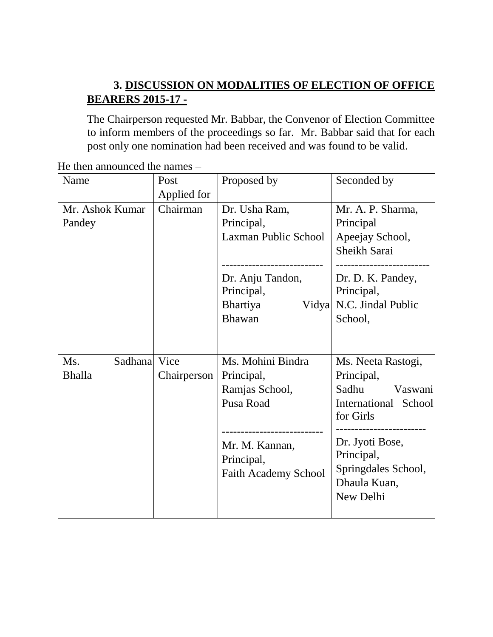# **3. DISCUSSION ON MODALITIES OF ELECTION OF OFFICE BEARERS 2015-17 -**

The Chairperson requested Mr. Babbar, the Convenor of Election Committee to inform members of the proceedings so far. Mr. Babbar said that for each post only one nomination had been received and was found to be valid.

| Name                | Post        | Proposed by                                | Seconded by                         |
|---------------------|-------------|--------------------------------------------|-------------------------------------|
|                     | Applied for |                                            |                                     |
| Mr. Ashok Kumar     | Chairman    | Dr. Usha Ram,                              | Mr. A. P. Sharma,                   |
| Pandey              |             | Principal,                                 | Principal                           |
|                     |             | Laxman Public School                       | Apeejay School,                     |
|                     |             |                                            | Sheikh Sarai                        |
|                     |             | ----------------------<br>Dr. Anju Tandon, | Dr. D. K. Pandey,                   |
|                     |             | Principal,                                 | Principal,                          |
|                     |             | Bhartiya<br>Vidya                          | N.C. Jindal Public                  |
|                     |             | Bhawan                                     | School,                             |
|                     |             |                                            |                                     |
|                     |             |                                            |                                     |
| Sadhana Vice<br>Ms. |             | Ms. Mohini Bindra                          | Ms. Neeta Rastogi,                  |
| <b>Bhalla</b>       | Chairperson | Principal,                                 | Principal,                          |
|                     |             | Ramjas School,                             | Sadhu<br>Vaswani                    |
|                     |             | Pusa Road                                  | International School<br>for Girls   |
|                     |             | ---------------------                      |                                     |
|                     |             | Mr. M. Kannan,                             | Dr. Jyoti Bose,                     |
|                     |             | Principal,                                 | Principal,                          |
|                     |             | <b>Faith Academy School</b>                | Springdales School,<br>Dhaula Kuan, |
|                     |             |                                            | New Delhi                           |
|                     |             |                                            |                                     |

He then announced the names –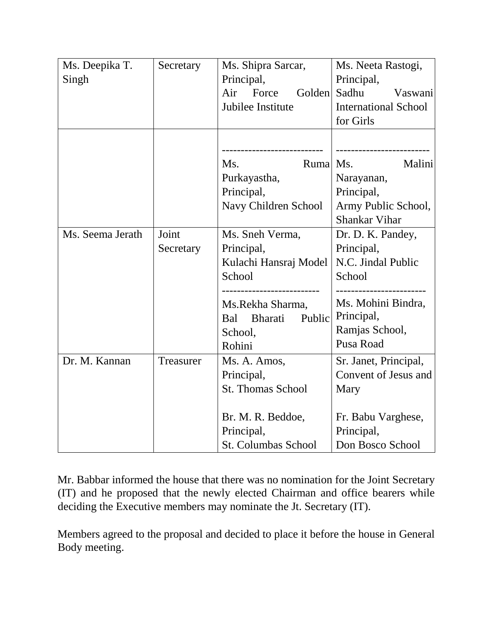| Ms. Deepika T.   | Secretary | Ms. Shipra Sarcar,                        | Ms. Neeta Rastogi,                        |
|------------------|-----------|-------------------------------------------|-------------------------------------------|
| Singh            |           | Principal,                                | Principal,                                |
|                  |           | Air<br>Force<br>Golden                    | Sadhu<br>Vaswani                          |
|                  |           | Jubilee Institute                         | <b>International School</b>               |
|                  |           |                                           | for Girls                                 |
|                  |           |                                           |                                           |
|                  |           | Ms.<br>Ruma                               | Ms.<br>Malini                             |
|                  |           |                                           |                                           |
|                  |           | Purkayastha,                              | Narayanan,                                |
|                  |           | Principal,                                | Principal,                                |
|                  |           | Navy Children School                      | Army Public School,                       |
|                  |           |                                           | <b>Shankar Vihar</b>                      |
| Ms. Seema Jerath | Joint     | Ms. Sneh Verma,                           | Dr. D. K. Pandey,                         |
|                  | Secretary | Principal,                                | Principal,                                |
|                  |           | Kulachi Hansraj Model                     | N.C. Jindal Public                        |
|                  |           | School                                    | School                                    |
|                  |           | ---------------------<br>Ms.Rekha Sharma, | -------------------<br>Ms. Mohini Bindra, |
|                  |           | Bharati<br>Public<br>Bal                  | Principal,                                |
|                  |           | School,                                   | Ramjas School,                            |
|                  |           | Rohini                                    | Pusa Road                                 |
| Dr. M. Kannan    | Treasurer | Ms. A. Amos,                              | Sr. Janet, Principal,                     |
|                  |           | Principal,                                | Convent of Jesus and                      |
|                  |           | <b>St. Thomas School</b>                  | Mary                                      |
|                  |           |                                           |                                           |
|                  |           | Br. M. R. Beddoe,                         | Fr. Babu Varghese,                        |
|                  |           | Principal,                                | Principal,                                |
|                  |           | <b>St. Columbas School</b>                | Don Bosco School                          |

Mr. Babbar informed the house that there was no nomination for the Joint Secretary (IT) and he proposed that the newly elected Chairman and office bearers while deciding the Executive members may nominate the Jt. Secretary (IT).

Members agreed to the proposal and decided to place it before the house in General Body meeting.